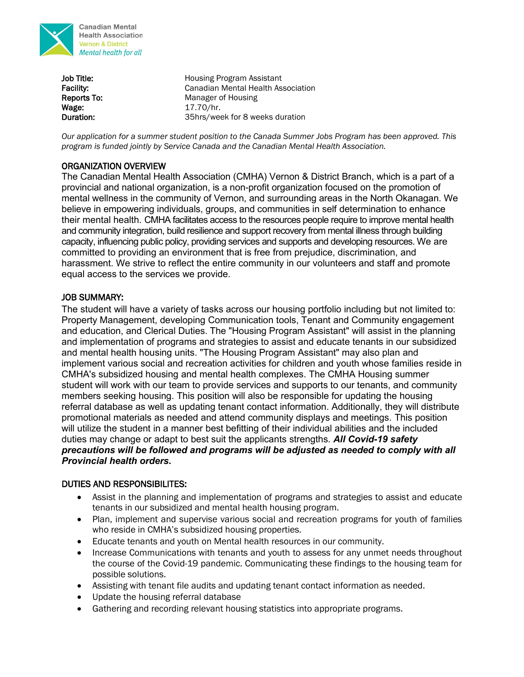

**Canadian Mental Health Association Vernon & District** Mental health for all

**Job Title: Housing Program Assistant** Facility: Canadian Mental Health Association Reports To: Manager of Housing Wage: 17.70/hr. Duration: 35hrs/week for 8 weeks duration

*Our application for a summer student position to the Canada Summer Jobs Program has been approved. This program is funded jointly by Service Canada and the Canadian Mental Health Association.* 

# ORGANIZATION OVERVIEW

The Canadian Mental Health Association (CMHA) Vernon & District Branch, which is a part of a provincial and national organization, is a non-profit organization focused on the promotion of mental wellness in the community of Vernon, and surrounding areas in the North Okanagan. We believe in empowering individuals, groups, and communities in self determination to enhance their mental health. CMHA facilitates access to the resources people require to improve mental health and community integration, build resilience and support recovery from mental illness through building capacity, influencing public policy, providing services and supports and developing resources. We are committed to providing an environment that is free from prejudice, discrimination, and harassment. We strive to reflect the entire community in our volunteers and staff and promote equal access to the services we provide.

## JOB SUMMARY:

The student will have a variety of tasks across our housing portfolio including but not limited to: Property Management, developing Communication tools, Tenant and Community engagement and education, and Clerical Duties. The "Housing Program Assistant" will assist in the planning and implementation of programs and strategies to assist and educate tenants in our subsidized and mental health housing units. "The Housing Program Assistant" may also plan and implement various social and recreation activities for children and youth whose families reside in CMHA's subsidized housing and mental health complexes. The CMHA Housing summer student will work with our team to provide services and supports to our tenants, and community members seeking housing. This position will also be responsible for updating the housing referral database as well as updating tenant contact information. Additionally, they will distribute promotional materials as needed and attend community displays and meetings. This position will utilize the student in a manner best befitting of their individual abilities and the included duties may change or adapt to best suit the applicants strengths. *All Covid-19 safety precautions will be followed and programs will be adjusted as needed to comply with all Provincial health orders.*

### DUTIES AND RESPONSIBILITES:

- Assist in the planning and implementation of programs and strategies to assist and educate tenants in our subsidized and mental health housing program.
- Plan, implement and supervise various social and recreation programs for youth of families who reside in CMHA's subsidized housing properties.
- Educate tenants and youth on Mental health resources in our community.
- Increase Communications with tenants and youth to assess for any unmet needs throughout the course of the Covid-19 pandemic. Communicating these findings to the housing team for possible solutions.
- Assisting with tenant file audits and updating tenant contact information as needed.
- Update the housing referral database
- Gathering and recording relevant housing statistics into appropriate programs.